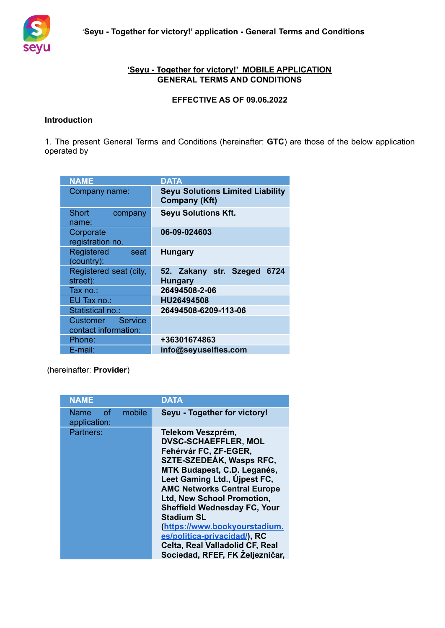

# **'Seyu - Together for victory!' MOBILE APPLICATION GENERAL TERMS AND CONDITIONS**

# **EFFECTIVE AS OF 09.06.2022**

### **Introduction**

1. The present General Terms and Conditions (hereinafter: **GTC**) are those of the below application operated by

| <b>NAME</b>                              | <b>DATA</b>                                                     |
|------------------------------------------|-----------------------------------------------------------------|
| Company name:                            | <b>Seyu Solutions Limited Liability</b><br><b>Company (Kft)</b> |
| <b>Short</b><br>company<br>name:         | <b>Seyu Solutions Kft.</b>                                      |
| Corporate<br>registration no.            | 06-09-024603                                                    |
| Registered<br>seat<br>(country):         | <b>Hungary</b>                                                  |
| Registered seat (city,<br>street):       | 52. Zakany str. Szeged<br>6724<br><b>Hungary</b>                |
| Tax no.:                                 | 26494508-2-06                                                   |
| EU Tax no.:                              | HU26494508                                                      |
| Statistical no.:                         | 26494508-6209-113-06                                            |
| Customer Service<br>contact information: |                                                                 |
| Phone:                                   | +36301674863                                                    |
| E-mail:                                  | info@seyuselfies.com                                            |

(hereinafter: **Provider**)

| <b>NAME</b>                         |        | <b>DATA</b>                                                                                                                                                                                                                                                                                                                                                                                                                                        |
|-------------------------------------|--------|----------------------------------------------------------------------------------------------------------------------------------------------------------------------------------------------------------------------------------------------------------------------------------------------------------------------------------------------------------------------------------------------------------------------------------------------------|
| of -<br><b>Name</b><br>application: | mobile | Seyu - Together for victory!                                                                                                                                                                                                                                                                                                                                                                                                                       |
| Partners:                           |        | Telekom Veszprém,<br><b>DVSC-SCHAEFFLER, MOL</b><br>Fehérvár FC, ZF-EGER,<br>SZTE-SZEDEÁK, Wasps RFC,<br>MTK Budapest, C.D. Leganés,<br>Leet Gaming Ltd., Ujpest FC,<br><b>AMC Networks Central Europe</b><br><b>Ltd, New School Promotion,</b><br><b>Sheffield Wednesday FC, Your</b><br><b>Stadium SL</b><br>(https://www.bookyourstadium.<br>es/politica-privacidad/), RC<br>Celta, Real Valladolid CF, Real<br>Sociedad, RFEF, FK Željezničar. |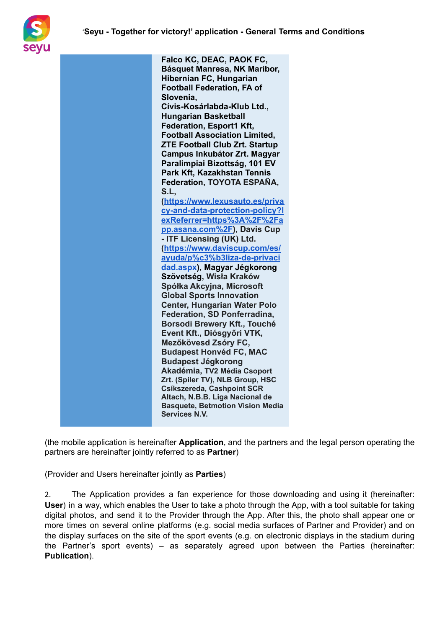

| Falco KC, DEAC, PAOK FC,                |
|-----------------------------------------|
| Básquet Manresa, NK Maribor,            |
| Hibernian FC, Hungarian                 |
| <b>Football Federation, FA of</b>       |
| Slovenia,                               |
| Cívis-Kosárlabda-Klub Ltd.,             |
| <b>Hungarian Basketball</b>             |
| Federation, Esport1 Kft,                |
| <b>Football Association Limited,</b>    |
| <b>ZTE Football Club Zrt. Startup</b>   |
| Campus Inkubátor Zrt. Magyar            |
| Paralimpiai Bizottság, 101 EV           |
| Park Kft, Kazakhstan Tennis             |
| Federation, TOYOTA ESPAÑA,              |
| S.L.                                    |
| (https://www.lexusauto.es/priva         |
| cy-and-data-protection-policy?I         |
| exReferrer=https%3A%2F%2Fa              |
| pp.asana.com%2F), Davis Cup             |
| - ITF Licensing (UK) Ltd.               |
| (https://www.daviscup.com/es/           |
| ayuda/p%c3%b3liza-de-privaci            |
| dad.aspx), Magyar Jégkorong             |
| Szövetség, Wisła Kraków                 |
| Spółka Akcyjna, Microsoft               |
| <b>Global Sports Innovation</b>         |
| <b>Center, Hungarian Water Polo</b>     |
| <b>Federation, SD Ponferradina,</b>     |
| Borsodi Brewery Kft., Touché            |
| Event Kft., Diósgyőri VTK,              |
| Mezőkövesd Zsóry FC,                    |
| <b>Budapest Honvéd FC, MAC</b>          |
| <b>Budapest Jégkorong</b>               |
| Akadémia, TV2 Média Csoport             |
| Zrt. (Spiler TV), NLB Group, HSC        |
| Csíkszereda, Cashpoint SCR              |
| Altach, N.B.B. Liga Nacional de         |
| <b>Basquete, Betmotion Vision Media</b> |
| <b>Services N.V.</b>                    |
|                                         |

(the mobile application is hereinafter **Application**, and the partners and the legal person operating the partners are hereinafter jointly referred to as **Partner**)

(Provider and Users hereinafter jointly as **Parties**)

2. The Application provides a fan experience for those downloading and using it (hereinafter: **User**) in a way, which enables the User to take a photo through the App, with a tool suitable for taking digital photos, and send it to the Provider through the App. After this, the photo shall appear one or more times on several online platforms (e.g. social media surfaces of Partner and Provider) and on the display surfaces on the site of the sport events (e.g. on electronic displays in the stadium during the Partner's sport events) – as separately agreed upon between the Parties (hereinafter: **Publication**).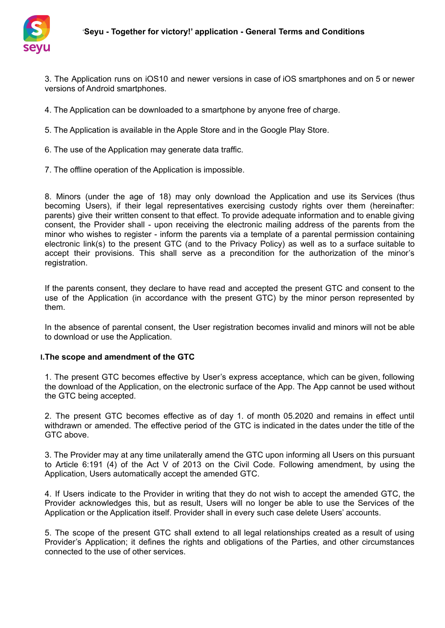

3. The Application runs on iOS10 and newer versions in case of iOS smartphones and on 5 or newer versions of Android smartphones.

4. The Application can be downloaded to a smartphone by anyone free of charge.

5. The Application is available in the Apple Store and in the Google Play Store.

- 6. The use of the Application may generate data traffic.
- 7. The offline operation of the Application is impossible.

8. Minors (under the age of 18) may only download the Application and use its Services (thus becoming Users), if their legal representatives exercising custody rights over them (hereinafter: parents) give their written consent to that effect. To provide adequate information and to enable giving consent, the Provider shall - upon receiving the electronic mailing address of the parents from the minor who wishes to register - inform the parents via a template of a parental permission containing electronic link(s) to the present GTC (and to the Privacy Policy) as well as to a surface suitable to accept their provisions. This shall serve as a precondition for the authorization of the minor's registration.

If the parents consent, they declare to have read and accepted the present GTC and consent to the use of the Application (in accordance with the present GTC) by the minor person represented by them.

In the absence of parental consent, the User registration becomes invalid and minors will not be able to download or use the Application.

### **I.The scope and amendment of the GTC**

1. The present GTC becomes effective by User's express acceptance, which can be given, following the download of the Application, on the electronic surface of the App. The App cannot be used without the GTC being accepted.

2. The present GTC becomes effective as of day 1. of month 05.2020 and remains in effect until withdrawn or amended. The effective period of the GTC is indicated in the dates under the title of the GTC above.

3. The Provider may at any time unilaterally amend the GTC upon informing all Users on this pursuant to Article 6:191 (4) of the Act V of 2013 on the Civil Code. Following amendment, by using the Application, Users automatically accept the amended GTC.

4. If Users indicate to the Provider in writing that they do not wish to accept the amended GTC, the Provider acknowledges this, but as result, Users will no longer be able to use the Services of the Application or the Application itself. Provider shall in every such case delete Users' accounts.

5. The scope of the present GTC shall extend to all legal relationships created as a result of using Provider's Application; it defines the rights and obligations of the Parties, and other circumstances connected to the use of other services.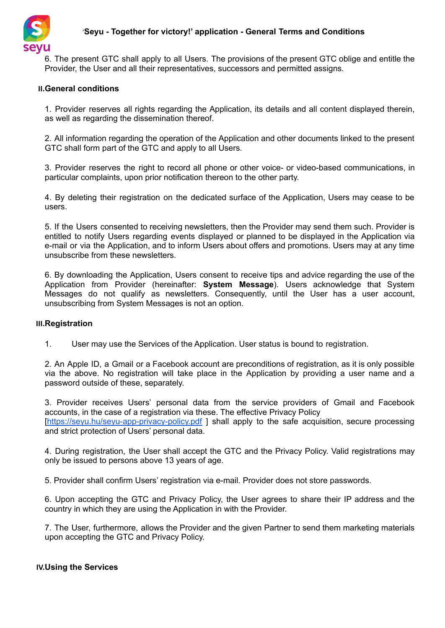

# '**Seyu - Together for victory!' application - General Terms and Conditions**

6. The present GTC shall apply to all Users. The provisions of the present GTC oblige and entitle the Provider, the User and all their representatives, successors and permitted assigns.

### **II.General conditions**

1. Provider reserves all rights regarding the Application, its details and all content displayed therein, as well as regarding the dissemination thereof.

2. All information regarding the operation of the Application and other documents linked to the present GTC shall form part of the GTC and apply to all Users.

3. Provider reserves the right to record all phone or other voice- or video-based communications, in particular complaints, upon prior notification thereon to the other party.

4. By deleting their registration on the dedicated surface of the Application, Users may cease to be users.

5. If the Users consented to receiving newsletters, then the Provider may send them such. Provider is entitled to notify Users regarding events displayed or planned to be displayed in the Application via e-mail or via the Application, and to inform Users about offers and promotions. Users may at any time unsubscribe from these newsletters.

6. By downloading the Application, Users consent to receive tips and advice regarding the use of the Application from Provider (hereinafter: **System Message**). Users acknowledge that System Messages do not qualify as newsletters. Consequently, until the User has a user account, unsubscribing from System Messages is not an option.

### **III.Registration**

1. User may use the Services of the Application. User status is bound to registration.

2. An Apple ID, a Gmail or a Facebook account are preconditions of registration, as it is only possible via the above. No registration will take place in the Application by providing a user name and a password outside of these, separately.

3. Provider receives Users' personal data from the service providers of Gmail and Facebook accounts, in the case of a registration via these. The effective Privacy Policy [\[https://seyu.hu/seyu-app-privacy-policy.pdf](https://seyu.hu/seyu-app-privacy-policy.pdf) ] shall apply to the safe acquisition, secure processing and strict protection of Users' personal data.

4. During registration, the User shall accept the GTC and the Privacy Policy. Valid registrations may only be issued to persons above 13 years of age.

5. Provider shall confirm Users' registration via e-mail. Provider does not store passwords.

6. Upon accepting the GTC and Privacy Policy, the User agrees to share their IP address and the country in which they are using the Application in with the Provider.

7. The User, furthermore, allows the Provider and the given Partner to send them marketing materials upon accepting the GTC and Privacy Policy.

## **IV.Using the Services**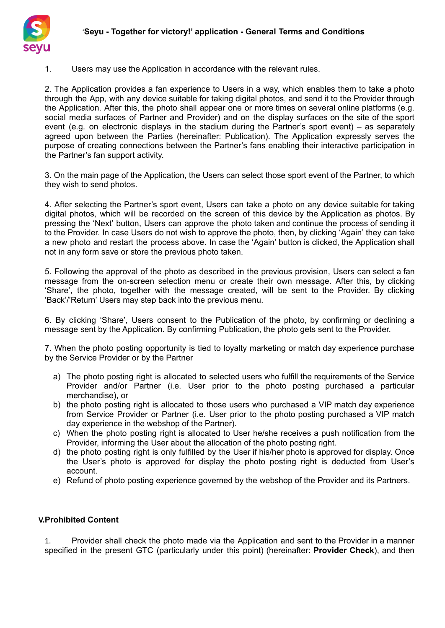

1. Users may use the Application in accordance with the relevant rules.

2. The Application provides a fan experience to Users in a way, which enables them to take a photo through the App, with any device suitable for taking digital photos, and send it to the Provider through the Application. After this, the photo shall appear one or more times on several online platforms (e.g. social media surfaces of Partner and Provider) and on the display surfaces on the site of the sport event (e.g. on electronic displays in the stadium during the Partner's sport event) – as separately agreed upon between the Parties (hereinafter: Publication). The Application expressly serves the purpose of creating connections between the Partner's fans enabling their interactive participation in the Partner's fan support activity.

3. On the main page of the Application, the Users can select those sport event of the Partner, to which they wish to send photos.

4. After selecting the Partner's sport event, Users can take a photo on any device suitable for taking digital photos, which will be recorded on the screen of this device by the Application as photos. By pressing the 'Next' button, Users can approve the photo taken and continue the process of sending it to the Provider. In case Users do not wish to approve the photo, then, by clicking 'Again' they can take a new photo and restart the process above. In case the 'Again' button is clicked, the Application shall not in any form save or store the previous photo taken.

5. Following the approval of the photo as described in the previous provision, Users can select a fan message from the on-screen selection menu or create their own message. After this, by clicking 'Share', the photo, together with the message created, will be sent to the Provider. By clicking 'Back'/'Return' Users may step back into the previous menu.

6. By clicking 'Share', Users consent to the Publication of the photo, by confirming or declining a message sent by the Application. By confirming Publication, the photo gets sent to the Provider.

7. When the photo posting opportunity is tied to loyalty marketing or match day experience purchase by the Service Provider or by the Partner

- a) The photo posting right is allocated to selected users who fulfill the requirements of the Service Provider and/or Partner (i.e. User prior to the photo posting purchased a particular merchandise), or
- b) the photo posting right is allocated to those users who purchased a VIP match day experience from Service Provider or Partner (i.e. User prior to the photo posting purchased a VIP match day experience in the webshop of the Partner).
- c) When the photo posting right is allocated to User he/she receives a push notification from the Provider, informing the User about the allocation of the photo posting right.
- d) the photo posting right is only fulfilled by the User if his/her photo is approved for display. Once the User's photo is approved for display the photo posting right is deducted from User's account.
- e) Refund of photo posting experience governed by the webshop of the Provider and its Partners.

## **V.Prohibited Content**

1. Provider shall check the photo made via the Application and sent to the Provider in a manner specified in the present GTC (particularly under this point) (hereinafter: **Provider Check**), and then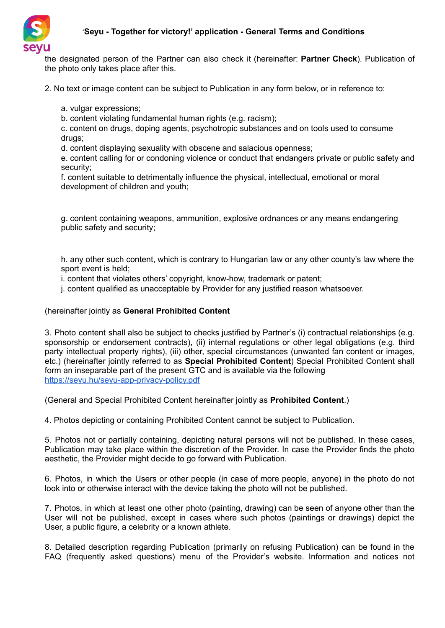

the designated person of the Partner can also check it (hereinafter: **Partner Check**). Publication of the photo only takes place after this.

2. No text or image content can be subject to Publication in any form below, or in reference to:

a. vulgar expressions;

b. content violating fundamental human rights (e.g. racism);

c. content on drugs, doping agents, psychotropic substances and on tools used to consume drugs:

d. content displaying sexuality with obscene and salacious openness;

e. content calling for or condoning violence or conduct that endangers private or public safety and security;

f. content suitable to detrimentally influence the physical, intellectual, emotional or moral development of children and youth;

g. content containing weapons, ammunition, explosive ordnances or any means endangering public safety and security;

h. any other such content, which is contrary to Hungarian law or any other county's law where the sport event is held;

i. content that violates others' copyright, know-how, trademark or patent;

j. content qualified as unacceptable by Provider for any justified reason whatsoever.

### (hereinafter jointly as **General Prohibited Content**

3. Photo content shall also be subject to checks justified by Partner's (i) contractual relationships (e.g. sponsorship or endorsement contracts), (ii) internal regulations or other legal obligations (e.g. third party intellectual property rights), (iii) other, special circumstances (unwanted fan content or images, etc.) (hereinafter jointly referred to as **Special Prohibited Content**) Special Prohibited Content shall form an inseparable part of the present GTC and is available via the following <https://seyu.hu/seyu-app-privacy-policy.pdf>

(General and Special Prohibited Content hereinafter jointly as **Prohibited Content**.)

4. Photos depicting or containing Prohibited Content cannot be subject to Publication.

5. Photos not or partially containing, depicting natural persons will not be published. In these cases, Publication may take place within the discretion of the Provider. In case the Provider finds the photo aesthetic, the Provider might decide to go forward with Publication.

6. Photos, in which the Users or other people (in case of more people, anyone) in the photo do not look into or otherwise interact with the device taking the photo will not be published.

7. Photos, in which at least one other photo (painting, drawing) can be seen of anyone other than the User will not be published, except in cases where such photos (paintings or drawings) depict the User, a public figure, a celebrity or a known athlete.

8. Detailed description regarding Publication (primarily on refusing Publication) can be found in the FAQ (frequently asked questions) menu of the Provider's website. Information and notices not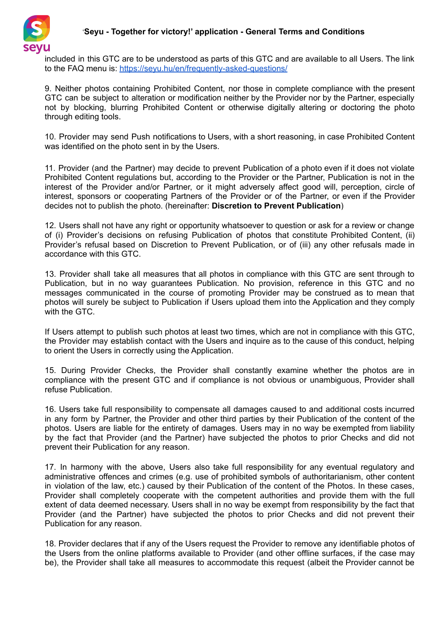

## '**Seyu - Together for victory!' application - General Terms and Conditions**

included in this GTC are to be understood as parts of this GTC and are available to all Users. The link to the FAQ menu is: <https://seyu.hu/en/frequently-asked-questions/>

9. Neither photos containing Prohibited Content, nor those in complete compliance with the present GTC can be subject to alteration or modification neither by the Provider nor by the Partner, especially not by blocking, blurring Prohibited Content or otherwise digitally altering or doctoring the photo through editing tools.

10. Provider may send Push notifications to Users, with a short reasoning, in case Prohibited Content was identified on the photo sent in by the Users.

11. Provider (and the Partner) may decide to prevent Publication of a photo even if it does not violate Prohibited Content regulations but, according to the Provider or the Partner, Publication is not in the interest of the Provider and/or Partner, or it might adversely affect good will, perception, circle of interest, sponsors or cooperating Partners of the Provider or of the Partner, or even if the Provider decides not to publish the photo. (hereinafter: **Discretion to Prevent Publication**)

12. Users shall not have any right or opportunity whatsoever to question or ask for a review or change of (i) Provider's decisions on refusing Publication of photos that constitute Prohibited Content, (ii) Provider's refusal based on Discretion to Prevent Publication, or of (iii) any other refusals made in accordance with this GTC.

13. Provider shall take all measures that all photos in compliance with this GTC are sent through to Publication, but in no way guarantees Publication. No provision, reference in this GTC and no messages communicated in the course of promoting Provider may be construed as to mean that photos will surely be subject to Publication if Users upload them into the Application and they comply with the GTC.

If Users attempt to publish such photos at least two times, which are not in compliance with this GTC, the Provider may establish contact with the Users and inquire as to the cause of this conduct, helping to orient the Users in correctly using the Application.

15. During Provider Checks, the Provider shall constantly examine whether the photos are in compliance with the present GTC and if compliance is not obvious or unambiguous, Provider shall refuse Publication.

16. Users take full responsibility to compensate all damages caused to and additional costs incurred in any form by Partner, the Provider and other third parties by their Publication of the content of the photos. Users are liable for the entirety of damages. Users may in no way be exempted from liability by the fact that Provider (and the Partner) have subjected the photos to prior Checks and did not prevent their Publication for any reason.

17. In harmony with the above, Users also take full responsibility for any eventual regulatory and administrative offences and crimes (e.g. use of prohibited symbols of authoritarianism, other content in violation of the law, etc.) caused by their Publication of the content of the Photos. In these cases, Provider shall completely cooperate with the competent authorities and provide them with the full extent of data deemed necessary. Users shall in no way be exempt from responsibility by the fact that Provider (and the Partner) have subjected the photos to prior Checks and did not prevent their Publication for any reason.

18. Provider declares that if any of the Users request the Provider to remove any identifiable photos of the Users from the online platforms available to Provider (and other offline surfaces, if the case may be), the Provider shall take all measures to accommodate this request (albeit the Provider cannot be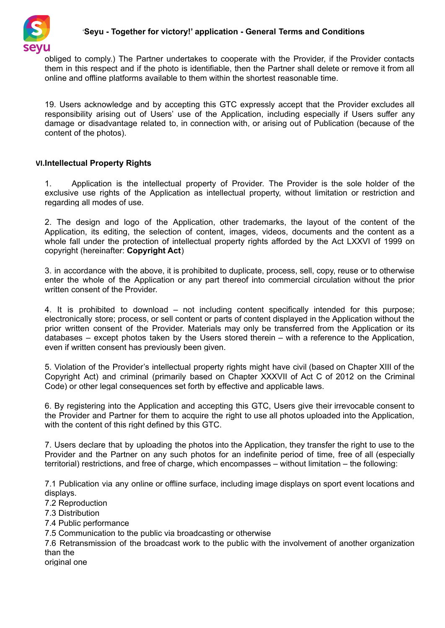

obliged to comply.) The Partner undertakes to cooperate with the Provider, if the Provider contacts them in this respect and if the photo is identifiable, then the Partner shall delete or remove it from all online and offline platforms available to them within the shortest reasonable time.

19. Users acknowledge and by accepting this GTC expressly accept that the Provider excludes all responsibility arising out of Users' use of the Application, including especially if Users suffer any damage or disadvantage related to, in connection with, or arising out of Publication (because of the content of the photos).

## **VI.Intellectual Property Rights**

1. Application is the intellectual property of Provider. The Provider is the sole holder of the exclusive use rights of the Application as intellectual property, without limitation or restriction and regarding all modes of use.

2. The design and logo of the Application, other trademarks, the layout of the content of the Application, its editing, the selection of content, images, videos, documents and the content as a whole fall under the protection of intellectual property rights afforded by the Act LXXVI of 1999 on copyright (hereinafter: **Copyright Act**)

3. in accordance with the above, it is prohibited to duplicate, process, sell, copy, reuse or to otherwise enter the whole of the Application or any part thereof into commercial circulation without the prior written consent of the Provider.

4. It is prohibited to download – not including content specifically intended for this purpose; electronically store; process, or sell content or parts of content displayed in the Application without the prior written consent of the Provider. Materials may only be transferred from the Application or its databases – except photos taken by the Users stored therein – with a reference to the Application, even if written consent has previously been given.

5. Violation of the Provider's intellectual property rights might have civil (based on Chapter XIII of the Copyright Act) and criminal (primarily based on Chapter XXXVII of Act C of 2012 on the Criminal Code) or other legal consequences set forth by effective and applicable laws.

6. By registering into the Application and accepting this GTC, Users give their irrevocable consent to the Provider and Partner for them to acquire the right to use all photos uploaded into the Application, with the content of this right defined by this GTC.

7. Users declare that by uploading the photos into the Application, they transfer the right to use to the Provider and the Partner on any such photos for an indefinite period of time, free of all (especially territorial) restrictions, and free of charge, which encompasses – without limitation – the following:

7.1 Publication via any online or offline surface, including image displays on sport event locations and displays.

7.2 Reproduction

7.3 Distribution

7.4 Public performance

7.5 Communication to the public via broadcasting or otherwise

7.6 Retransmission of the broadcast work to the public with the involvement of another organization than the

original one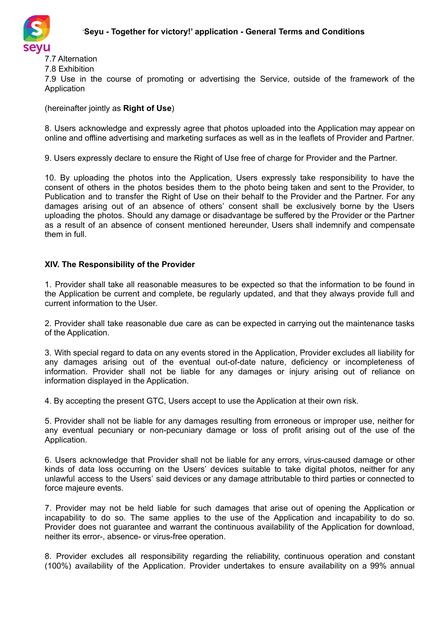

7.7 Alternation 7.8 Exhibition

7.9 Use in the course of promoting or advertising the Service, outside of the framework of the **Application** 

(hereinafter jointly as **Right of Use**)

8. Users acknowledge and expressly agree that photos uploaded into the Application may appear on online and offline advertising and marketing surfaces as well as in the leaflets of Provider and Partner.

9. Users expressly declare to ensure the Right of Use free of charge for Provider and the Partner.

10. By uploading the photos into the Application, Users expressly take responsibility to have the consent of others in the photos besides them to the photo being taken and sent to the Provider, to Publication and to transfer the Right of Use on their behalf to the Provider and the Partner. For any damages arising out of an absence of others' consent shall be exclusively borne by the Users uploading the photos. Should any damage or disadvantage be suffered by the Provider or the Partner as a result of an absence of consent mentioned hereunder, Users shall indemnify and compensate them in full.

# **XIV. The Responsibility of the Provider**

1. Provider shall take all reasonable measures to be expected so that the information to be found in the Application be current and complete, be regularly updated, and that they always provide full and current information to the User.

2. Provider shall take reasonable due care as can be expected in carrying out the maintenance tasks of the Application.

3. With special regard to data on any events stored in the Application, Provider excludes all liability for any damages arising out of the eventual out-of-date nature, deficiency or incompleteness of information. Provider shall not be liable for any damages or injury arising out of reliance on information displayed in the Application.

4. By accepting the present GTC, Users accept to use the Application at their own risk.

5. Provider shall not be liable for any damages resulting from erroneous or improper use, neither for any eventual pecuniary or non-pecuniary damage or loss of profit arising out of the use of the Application.

6. Users acknowledge that Provider shall not be liable for any errors, virus-caused damage or other kinds of data loss occurring on the Users' devices suitable to take digital photos, neither for any unlawful access to the Users' said devices or any damage attributable to third parties or connected to force majeure events.

7. Provider may not be held liable for such damages that arise out of opening the Application or incapability to do so. The same applies to the use of the Application and incapability to do so. Provider does not guarantee and warrant the continuous availability of the Application for download, neither its error-, absence- or virus-free operation.

8. Provider excludes all responsibility regarding the reliability, continuous operation and constant (100%) availability of the Application. Provider undertakes to ensure availability on a 99% annual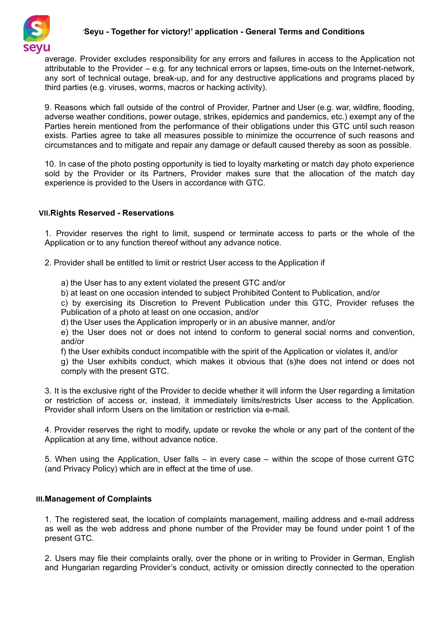

## '**Seyu - Together for victory!' application - General Terms and Conditions**

average. Provider excludes responsibility for any errors and failures in access to the Application not attributable to the Provider – e.g. for any technical errors or lapses, time-outs on the Internet-network, any sort of technical outage, break-up, and for any destructive applications and programs placed by third parties (e.g. viruses, worms, macros or hacking activity).

9. Reasons which fall outside of the control of Provider, Partner and User (e.g. war, wildfire, flooding, adverse weather conditions, power outage, strikes, epidemics and pandemics, etc.) exempt any of the Parties herein mentioned from the performance of their obligations under this GTC until such reason exists. Parties agree to take all measures possible to minimize the occurrence of such reasons and circumstances and to mitigate and repair any damage or default caused thereby as soon as possible.

10. In case of the photo posting opportunity is tied to loyalty marketing or match day photo experience sold by the Provider or its Partners, Provider makes sure that the allocation of the match day experience is provided to the Users in accordance with GTC.

### **VII.Rights Reserved - Reservations**

1. Provider reserves the right to limit, suspend or terminate access to parts or the whole of the Application or to any function thereof without any advance notice.

2. Provider shall be entitled to limit or restrict User access to the Application if

a) the User has to any extent violated the present GTC and/or

b) at least on one occasion intended to subject Prohibited Content to Publication, and/or

c) by exercising its Discretion to Prevent Publication under this GTC, Provider refuses the Publication of a photo at least on one occasion, and/or

d) the User uses the Application improperly or in an abusive manner, and/or

e) the User does not or does not intend to conform to general social norms and convention, and/or

f) the User exhibits conduct incompatible with the spirit of the Application or violates it, and/or

g) the User exhibits conduct, which makes it obvious that (s)he does not intend or does not comply with the present GTC.

3. It is the exclusive right of the Provider to decide whether it will inform the User regarding a limitation or restriction of access or, instead, it immediately limits/restricts User access to the Application. Provider shall inform Users on the limitation or restriction via e-mail.

4. Provider reserves the right to modify, update or revoke the whole or any part of the content of the Application at any time, without advance notice.

5. When using the Application, User falls – in every case – within the scope of those current GTC (and Privacy Policy) which are in effect at the time of use.

## **VIII.Management of Complaints**

1. The registered seat, the location of complaints management, mailing address and e-mail address as well as the web address and phone number of the Provider may be found under point 1 of the present GTC.

2. Users may file their complaints orally, over the phone or in writing to Provider in German, English and Hungarian regarding Provider's conduct, activity or omission directly connected to the operation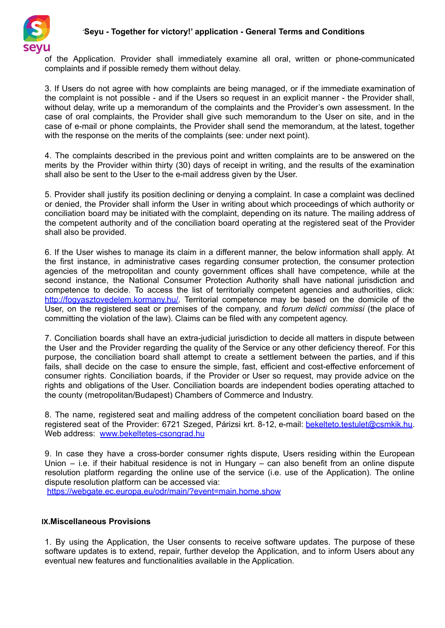

of the Application. Provider shall immediately examine all oral, written or phone-communicated complaints and if possible remedy them without delay.

3. If Users do not agree with how complaints are being managed, or if the immediate examination of the complaint is not possible - and if the Users so request in an explicit manner - the Provider shall, without delay, write up a memorandum of the complaints and the Provider's own assessment. In the case of oral complaints, the Provider shall give such memorandum to the User on site, and in the case of e-mail or phone complaints, the Provider shall send the memorandum, at the latest, together with the response on the merits of the complaints (see: under next point).

4. The complaints described in the previous point and written complaints are to be answered on the merits by the Provider within thirty (30) days of receipt in writing, and the results of the examination shall also be sent to the User to the e-mail address given by the User.

5. Provider shall justify its position declining or denying a complaint. In case a complaint was declined or denied, the Provider shall inform the User in writing about which proceedings of which authority or conciliation board may be initiated with the complaint, depending on its nature. The mailing address of the competent authority and of the conciliation board operating at the registered seat of the Provider shall also be provided.

6. If the User wishes to manage its claim in a different manner, the below information shall apply. At the first instance, in administrative cases regarding consumer protection, the consumer protection agencies of the metropolitan and county government offices shall have competence, while at the second instance, the National Consumer Protection Authority shall have national jurisdiction and competence to decide. To access the list of territorially competent agencies and authorities, click: [http://fogyasztovedelem.kormany.hu/.](http://fogyasztovedelem.kormany.hu/) Territorial competence may be based on the domicile of the User, on the registered seat or premises of the company, and *forum delicti commissi* (the place of committing the violation of the law). Claims can be filed with any competent agency.

7. Conciliation boards shall have an extra-judicial jurisdiction to decide all matters in dispute between the User and the Provider regarding the quality of the Service or any other deficiency thereof. For this purpose, the conciliation board shall attempt to create a settlement between the parties, and if this fails, shall decide on the case to ensure the simple, fast, efficient and cost-effective enforcement of consumer rights. Conciliation boards, if the Provider or User so request, may provide advice on the rights and obligations of the User. Conciliation boards are independent bodies operating attached to the county (metropolitan/Budapest) Chambers of Commerce and Industry.

8. The name, registered seat and mailing address of the competent conciliation board based on the registered seat of the Provider: 6721 Szeged, Párizsi krt. 8-12, e-mail: [bekelteto.testulet@csmkik.hu.](mailto:bekelteto.testulet@csmkik.hu) Web address: [www.bekeltetes-csongrad.hu](http://www.bekeltetes-csongrad.hu)

9. In case they have a cross-border consumer rights dispute, Users residing within the European Union – i.e. if their habitual residence is not in Hungary – can also benefit from an online dispute resolution platform regarding the online use of the service (i.e. use of the Application). The online dispute resolution platform can be accessed via:

<https://webgate.ec.europa.eu/odr/main/?event=main.home.show>

## **IX.Miscellaneous Provisions**

1. By using the Application, the User consents to receive software updates. The purpose of these software updates is to extend, repair, further develop the Application, and to inform Users about any eventual new features and functionalities available in the Application.